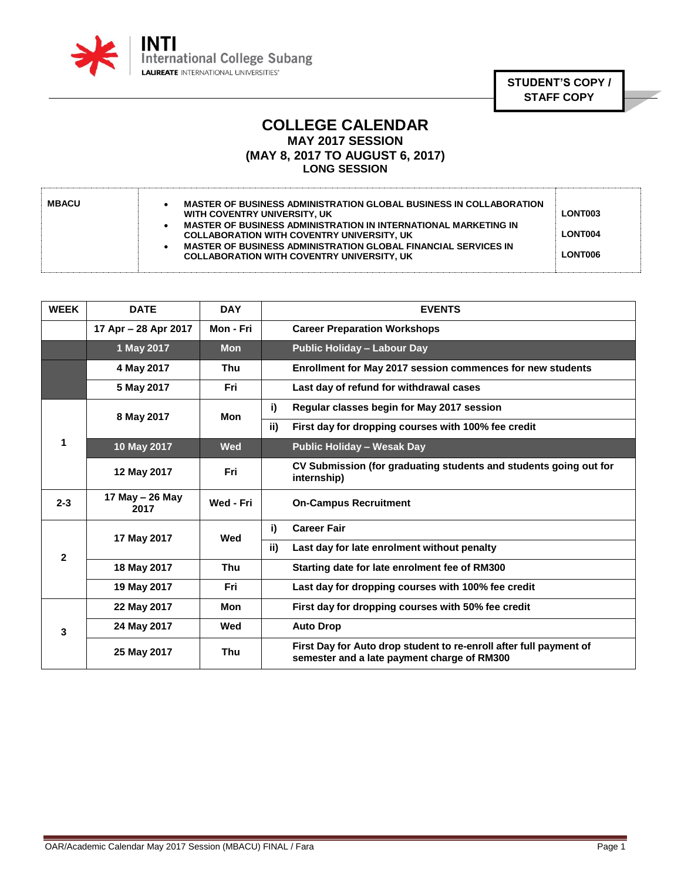

**STUDENT'S COPY / STAFF COPY**

## **COLLEGE CALENDAR MAY 2017 SESSION (MAY 8, 2017 TO AUGUST 6, 2017) LONG SESSION**

| <b>MBACU</b><br>MASTER OF BUSINESS ADMINISTRATION GLOBAL BUSINESS IN COLLABORATION<br>WITH COVENTRY UNIVERSITY, UK<br>MASTER OF BUSINESS ADMINISTRATION IN INTERNATIONAL MARKETING IN<br><b>COLLABORATION WITH COVENTRY UNIVERSITY, UK</b><br>MASTER OF BUSINESS ADMINISTRATION GLOBAL FINANCIAL SERVICES IN<br><b>COLLABORATION WITH COVENTRY UNIVERSITY, UK</b> | LONT003<br><b>LONT004</b><br>LONT006 |
|-------------------------------------------------------------------------------------------------------------------------------------------------------------------------------------------------------------------------------------------------------------------------------------------------------------------------------------------------------------------|--------------------------------------|
|-------------------------------------------------------------------------------------------------------------------------------------------------------------------------------------------------------------------------------------------------------------------------------------------------------------------------------------------------------------------|--------------------------------------|

| <b>WEEK</b>  | <b>DATE</b>             | <b>DAY</b> | <b>EVENTS</b>                                                                                                     |
|--------------|-------------------------|------------|-------------------------------------------------------------------------------------------------------------------|
|              | 17 Apr - 28 Apr 2017    | Mon - Fri  | <b>Career Preparation Workshops</b>                                                                               |
|              | 1 May 2017              | <b>Mon</b> | <b>Public Holiday - Labour Day</b>                                                                                |
|              | 4 May 2017              | Thu        | Enrollment for May 2017 session commences for new students                                                        |
|              | 5 May 2017              | Fri        | Last day of refund for withdrawal cases                                                                           |
|              | 8 May 2017              | Mon        | i)<br>Regular classes begin for May 2017 session                                                                  |
|              |                         |            | ii)<br>First day for dropping courses with 100% fee credit                                                        |
| 1            | 10 May 2017             | <b>Wed</b> | <b>Public Holiday - Wesak Day</b>                                                                                 |
|              | 12 May 2017             | Fri        | CV Submission (for graduating students and students going out for<br>internship)                                  |
| $2 - 3$      | 17 May - 26 May<br>2017 | Wed - Fri  | <b>On-Campus Recruitment</b>                                                                                      |
| $\mathbf{2}$ | 17 May 2017             | Wed        | i)<br><b>Career Fair</b>                                                                                          |
|              |                         |            | Last day for late enrolment without penalty<br>ii)                                                                |
|              | 18 May 2017             | Thu        | Starting date for late enrolment fee of RM300                                                                     |
|              | 19 May 2017             | Fri        | Last day for dropping courses with 100% fee credit                                                                |
| 3            | 22 May 2017             | Mon        | First day for dropping courses with 50% fee credit                                                                |
|              | 24 May 2017             | Wed        | <b>Auto Drop</b>                                                                                                  |
|              | 25 May 2017             | Thu        | First Day for Auto drop student to re-enroll after full payment of<br>semester and a late payment charge of RM300 |